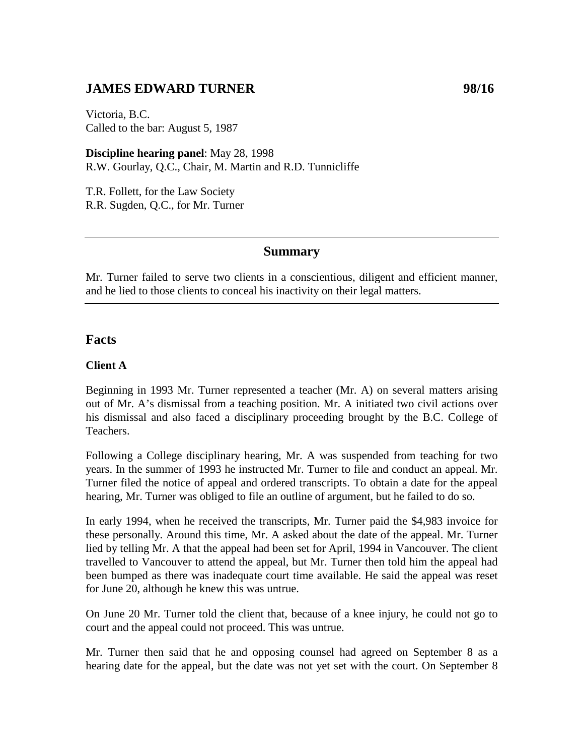## **JAMES EDWARD TURNER** 98/16

Victoria, B.C. Called to the bar: August 5, 1987

**Discipline hearing panel**: May 28, 1998 R.W. Gourlay, Q.C., Chair, M. Martin and R.D. Tunnicliffe

T.R. Follett, for the Law Society R.R. Sugden, Q.C., for Mr. Turner

### **Summary**

Mr. Turner failed to serve two clients in a conscientious, diligent and efficient manner, and he lied to those clients to conceal his inactivity on their legal matters.

## **Facts**

#### **Client A**

Beginning in 1993 Mr. Turner represented a teacher (Mr. A) on several matters arising out of Mr. A's dismissal from a teaching position. Mr. A initiated two civil actions over his dismissal and also faced a disciplinary proceeding brought by the B.C. College of Teachers.

Following a College disciplinary hearing, Mr. A was suspended from teaching for two years. In the summer of 1993 he instructed Mr. Turner to file and conduct an appeal. Mr. Turner filed the notice of appeal and ordered transcripts. To obtain a date for the appeal hearing, Mr. Turner was obliged to file an outline of argument, but he failed to do so.

In early 1994, when he received the transcripts, Mr. Turner paid the \$4,983 invoice for these personally. Around this time, Mr. A asked about the date of the appeal. Mr. Turner lied by telling Mr. A that the appeal had been set for April, 1994 in Vancouver. The client travelled to Vancouver to attend the appeal, but Mr. Turner then told him the appeal had been bumped as there was inadequate court time available. He said the appeal was reset for June 20, although he knew this was untrue.

On June 20 Mr. Turner told the client that, because of a knee injury, he could not go to court and the appeal could not proceed. This was untrue.

Mr. Turner then said that he and opposing counsel had agreed on September 8 as a hearing date for the appeal, but the date was not yet set with the court. On September 8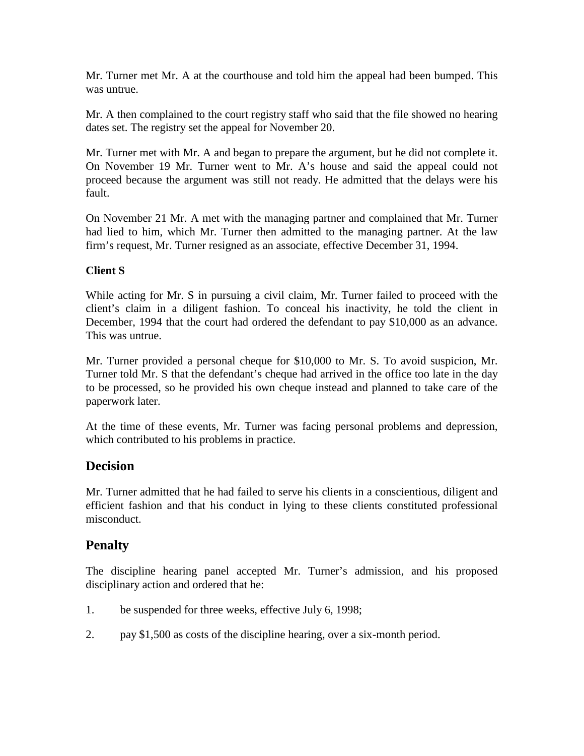Mr. Turner met Mr. A at the courthouse and told him the appeal had been bumped. This was untrue.

Mr. A then complained to the court registry staff who said that the file showed no hearing dates set. The registry set the appeal for November 20.

Mr. Turner met with Mr. A and began to prepare the argument, but he did not complete it. On November 19 Mr. Turner went to Mr. A's house and said the appeal could not proceed because the argument was still not ready. He admitted that the delays were his fault.

On November 21 Mr. A met with the managing partner and complained that Mr. Turner had lied to him, which Mr. Turner then admitted to the managing partner. At the law firm's request, Mr. Turner resigned as an associate, effective December 31, 1994.

## **Client S**

While acting for Mr. S in pursuing a civil claim, Mr. Turner failed to proceed with the client's claim in a diligent fashion. To conceal his inactivity, he told the client in December, 1994 that the court had ordered the defendant to pay \$10,000 as an advance. This was untrue.

Mr. Turner provided a personal cheque for \$10,000 to Mr. S. To avoid suspicion, Mr. Turner told Mr. S that the defendant's cheque had arrived in the office too late in the day to be processed, so he provided his own cheque instead and planned to take care of the paperwork later.

At the time of these events, Mr. Turner was facing personal problems and depression, which contributed to his problems in practice.

## **Decision**

Mr. Turner admitted that he had failed to serve his clients in a conscientious, diligent and efficient fashion and that his conduct in lying to these clients constituted professional misconduct.

# **Penalty**

The discipline hearing panel accepted Mr. Turner's admission, and his proposed disciplinary action and ordered that he:

- 1. be suspended for three weeks, effective July 6, 1998;
- 2. pay \$1,500 as costs of the discipline hearing, over a six-month period.